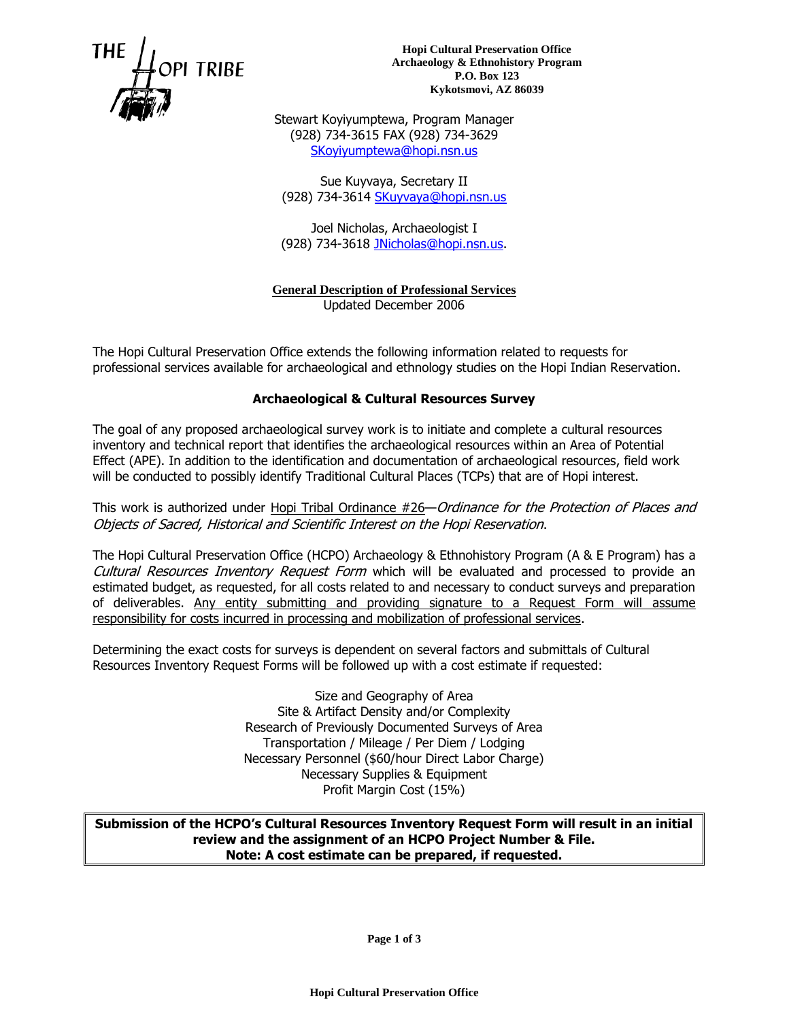

**Hopi Cultural Preservation Office Archaeology & Ethnohistory Program P.O. Box 123 Kykotsmovi, AZ 86039**

Stewart Koyiyumptewa, Program Manager (928) 734-3615 FAX (928) 734-3629 [SKoyiyumptewa@hopi.nsn.us](mailto:LKuwanwisiwma@hopi.nsn.us)

Sue Kuyvaya, Secretary II (928) 734-3614 [SKuyvaya@hopi.nsn.us](mailto:SKuyvaya@hopi.nsn.us)

Joel Nicholas, Archaeologist I (928) 734-3618 [JNicholas@hopi.nsn.us.](mailto:JNicholas@hopi.nsn.us)

**General Description of Professional Services** Updated December 2006

The Hopi Cultural Preservation Office extends the following information related to requests for professional services available for archaeological and ethnology studies on the Hopi Indian Reservation.

#### **Archaeological & Cultural Resources Survey**

The goal of any proposed archaeological survey work is to initiate and complete a cultural resources inventory and technical report that identifies the archaeological resources within an Area of Potential Effect (APE). In addition to the identification and documentation of archaeological resources, field work will be conducted to possibly identify Traditional Cultural Places (TCPs) that are of Hopi interest.

This work is authorized under Hopi Tribal Ordinance #26—Ordinance for the Protection of Places and Objects of Sacred, Historical and Scientific Interest on the Hopi Reservation.

The Hopi Cultural Preservation Office (HCPO) Archaeology & Ethnohistory Program (A & E Program) has a Cultural Resources Inventory Request Form which will be evaluated and processed to provide an estimated budget, as requested, for all costs related to and necessary to conduct surveys and preparation of deliverables. Any entity submitting and providing signature to a Request Form will assume responsibility for costs incurred in processing and mobilization of professional services.

Determining the exact costs for surveys is dependent on several factors and submittals of Cultural Resources Inventory Request Forms will be followed up with a cost estimate if requested:

> Size and Geography of Area Site & Artifact Density and/or Complexity Research of Previously Documented Surveys of Area Transportation / Mileage / Per Diem / Lodging Necessary Personnel (\$60/hour Direct Labor Charge) Necessary Supplies & Equipment Profit Margin Cost (15%)

**Submission of the HCPO's Cultural Resources Inventory Request Form will result in an initial review and the assignment of an HCPO Project Number & File. Note: A cost estimate can be prepared, if requested.**

**Page 1 of 3**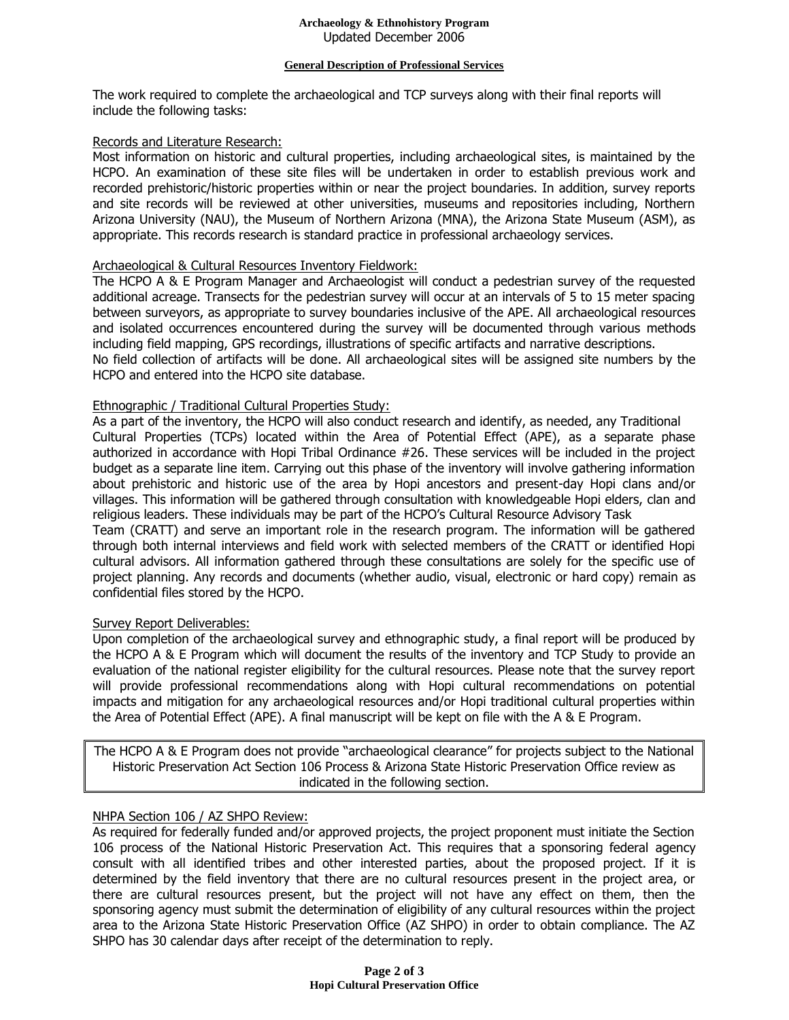#### **General Description of Professional Services**

The work required to complete the archaeological and TCP surveys along with their final reports will include the following tasks:

### Records and Literature Research:

Most information on historic and cultural properties, including archaeological sites, is maintained by the HCPO. An examination of these site files will be undertaken in order to establish previous work and recorded prehistoric/historic properties within or near the project boundaries. In addition, survey reports and site records will be reviewed at other universities, museums and repositories including, Northern Arizona University (NAU), the Museum of Northern Arizona (MNA), the Arizona State Museum (ASM), as appropriate. This records research is standard practice in professional archaeology services.

# Archaeological & Cultural Resources Inventory Fieldwork:

The HCPO A & E Program Manager and Archaeologist will conduct a pedestrian survey of the requested additional acreage. Transects for the pedestrian survey will occur at an intervals of 5 to 15 meter spacing between surveyors, as appropriate to survey boundaries inclusive of the APE. All archaeological resources and isolated occurrences encountered during the survey will be documented through various methods including field mapping, GPS recordings, illustrations of specific artifacts and narrative descriptions. No field collection of artifacts will be done. All archaeological sites will be assigned site numbers by the HCPO and entered into the HCPO site database.

# Ethnographic / Traditional Cultural Properties Study:

As a part of the inventory, the HCPO will also conduct research and identify, as needed, any Traditional Cultural Properties (TCPs) located within the Area of Potential Effect (APE), as a separate phase authorized in accordance with Hopi Tribal Ordinance #26. These services will be included in the project budget as a separate line item. Carrying out this phase of the inventory will involve gathering information about prehistoric and historic use of the area by Hopi ancestors and present-day Hopi clans and/or villages. This information will be gathered through consultation with knowledgeable Hopi elders, clan and religious leaders. These individuals may be part of the HCPO's Cultural Resource Advisory Task Team (CRATT) and serve an important role in the research program. The information will be gathered through both internal interviews and field work with selected members of the CRATT or identified Hopi cultural advisors. All information gathered through these consultations are solely for the specific use of project planning. Any records and documents (whether audio, visual, electronic or hard copy) remain as confidential files stored by the HCPO.

#### Survey Report Deliverables:

Upon completion of the archaeological survey and ethnographic study, a final report will be produced by the HCPO A & E Program which will document the results of the inventory and TCP Study to provide an evaluation of the national register eligibility for the cultural resources. Please note that the survey report will provide professional recommendations along with Hopi cultural recommendations on potential impacts and mitigation for any archaeological resources and/or Hopi traditional cultural properties within the Area of Potential Effect (APE). A final manuscript will be kept on file with the A & E Program.

The HCPO A & E Program does not provide "archaeological clearance" for projects subject to the National Historic Preservation Act Section 106 Process & Arizona State Historic Preservation Office review as indicated in the following section.

# NHPA Section 106 / AZ SHPO Review:

As required for federally funded and/or approved projects, the project proponent must initiate the Section 106 process of the National Historic Preservation Act. This requires that a sponsoring federal agency consult with all identified tribes and other interested parties, about the proposed project. If it is determined by the field inventory that there are no cultural resources present in the project area, or there are cultural resources present, but the project will not have any effect on them, then the sponsoring agency must submit the determination of eligibility of any cultural resources within the project area to the Arizona State Historic Preservation Office (AZ SHPO) in order to obtain compliance. The AZ SHPO has 30 calendar days after receipt of the determination to reply.